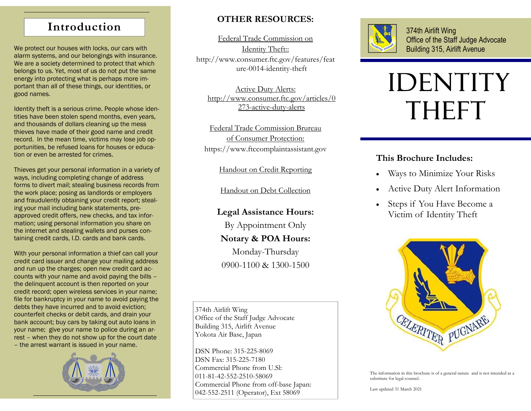## **Introduction**

We protect our houses with locks, our cars with alarm systems, and our belongings with insurance. We are a society determined to protect that which belongs to us. Yet, most of us do not put the same energy into protecting what is perhaps more important than all of these things, our identities, or good names.

Identity theft is a serious crime. People whose identities have been stolen spend months, even years, and thousands of dollars cleaning up the mess thieves have made of their good name and credit record. In the mean time, victims may lose job opportunities, be refused loans for houses or education or even be arrested for crimes.

Thieves get your personal information in a variety of ways, including completing change of address forms to divert mail; stealing business records from the work place; posing as landlords or employers and fraudulently obtaining your credit report; stealing your mail including bank statements, preapproved credit offers, new checks, and tax information; using personal information you share on the internet and stealing wallets and purses containing credit cards, I.D. cards and bank cards.

With your personal information a thief can call your credit card issuer and change your mailing address and run up the charges; open new credit card accounts with your name and avoid paying the bills – the delinquent account is then reported on your credit record; open wireless services in your name; file for bankruptcy in your name to avoid paying the debts they have incurred and to avoid eviction; counterfeit checks or debit cards, and drain your bank account; buy cars by taking out auto loans in your name; give your name to police during an arrest – when they do not show up for the court date – the arrest warrant is issued in your name.



### **OTHER RESOURCES:**

Federal Trade Commission on Identity Theft:: http://www.consumer.ftc.gov/features/feat ure-0014-identity-theft

Active Duty Alerts: http://www.consumer.ftc.gov/articles/0 273-active-duty-alerts

Federal Trade Commission Brureau of Consumer Protection: https://www.ftccomplaintassistant.gov

Handout on Credit Reporting

Handout on Debt Collection

**Legal Assistance Hours:** 

By Appointment Only

#### **Notary & POA Hours:**

Monday-Thursday 0900-1100 & 1300-1500

374th Airlift Wing Office of the Staff Judge Advocate Building 315, Airlift Avenue Yokota Air Base, Japan

DSN Phone: 315-225-8069 DSN Fax: 315-225-7180 Commercial Phone from U.Sl: 011-81-42-552-2510-58069 Commercial Phone from off-base Japan: 042-552-2511 (Operator), Ext 58069



374th Airlift Wing Office of the Staff Judge Advocate Building 315, Airlift Avenue

# IDENTITY THEFT

### **This Brochure Includes:**

- $\bullet$ Ways to Minimize Your Risks
- $\bullet$ Active Duty Alert Information
- $\bullet$  Steps if You Have Become a Victim of Identity Theft



The information in this brochure is of a general nature and is not intended as a substitute for legal counsel.

Last updated 31 March 2021